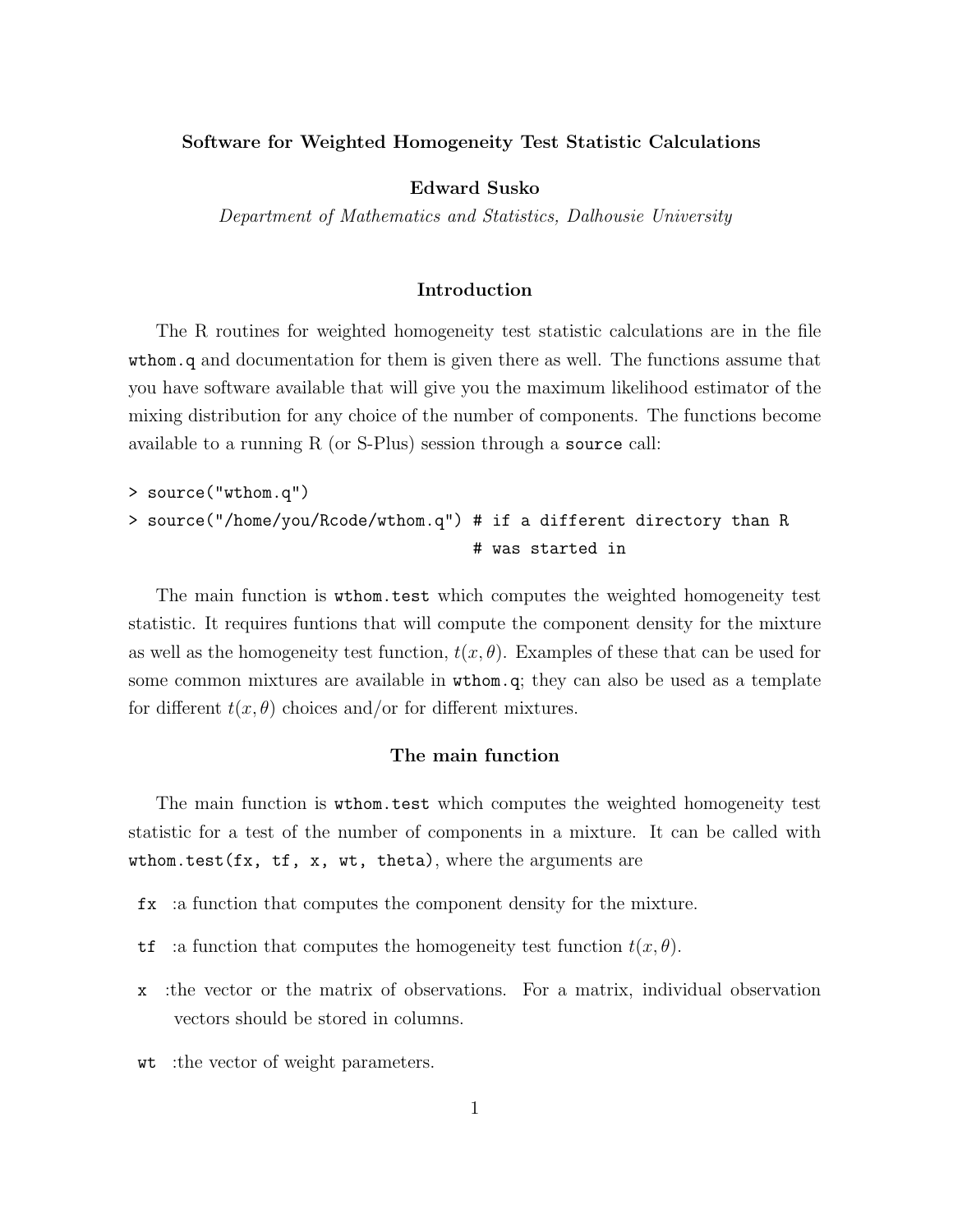#### Software for Weighted Homogeneity Test Statistic Calculations

Edward Susko

Department of Mathematics and Statistics, Dalhousie University

#### Introduction

The R routines for weighted homogeneity test statistic calculations are in the file wthom.q and documentation for them is given there as well. The functions assume that you have software available that will give you the maximum likelihood estimator of the mixing distribution for any choice of the number of components. The functions become available to a running R (or S-Plus) session through a source call:

```
> source("wthom.q")
> source("/home/you/Rcode/wthom.q") # if a different directory than R
                                    # was started in
```
The main function is wthom.test which computes the weighted homogeneity test statistic. It requires funtions that will compute the component density for the mixture as well as the homogeneity test function,  $t(x, \theta)$ . Examples of these that can be used for some common mixtures are available in wthom.q; they can also be used as a template for different  $t(x, \theta)$  choices and/or for different mixtures.

## The main function

The main function is wthom.test which computes the weighted homogeneity test statistic for a test of the number of components in a mixture. It can be called with wthom.test( $fx, tf, x, wt, theta$ ), where the arguments are

- fx :a function that computes the component density for the mixture.
- tf :a function that computes the homogeneity test function  $t(x, \theta)$ .
- x :the vector or the matrix of observations. For a matrix, individual observation vectors should be stored in columns.
- wt :the vector of weight parameters.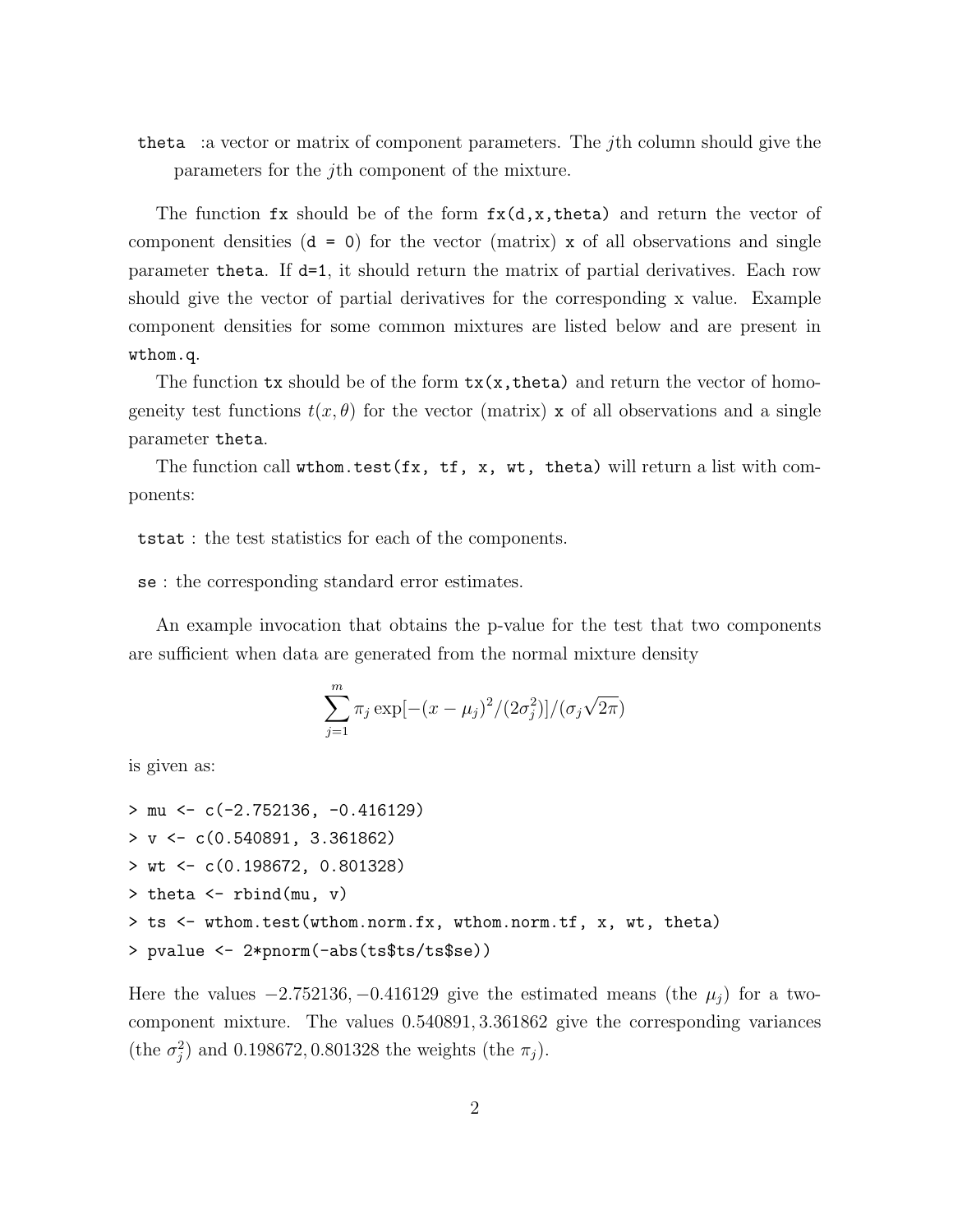theta :a vector or matrix of component parameters. The jth column should give the parameters for the jth component of the mixture.

The function  $f \mathbf{x}$  should be of the form  $f \mathbf{x}(d, \mathbf{x}, t)$  heta) and return the vector of component densities  $(d = 0)$  for the vector (matrix) x of all observations and single parameter theta. If d=1, it should return the matrix of partial derivatives. Each row should give the vector of partial derivatives for the corresponding x value. Example component densities for some common mixtures are listed below and are present in wthom.q.

The function  $tx$  should be of the form  $tx(x,theta)$  and return the vector of homogeneity test functions  $t(x, \theta)$  for the vector (matrix) x of all observations and a single parameter theta.

The function call wthom.test( $f x$ ,  $f$ ,  $x$ ,  $w$ , theta) will return a list with components:

tstat : the test statistics for each of the components.

se : the corresponding standard error estimates.

An example invocation that obtains the p-value for the test that two components are sufficient when data are generated from the normal mixture density

$$
\sum_{j=1}^{m} \pi_j \exp[-(x - \mu_j)^2 / (2\sigma_j^2)] / (\sigma_j \sqrt{2\pi})
$$

is given as:

```
> mu <- c(-2.752136, -0.416129)
> v <- c(0.540891, 3.361862)
> wt <- c(0.198672, 0.801328)
> theta <- rbind(mu, v)
> ts <- wthom.test(wthom.norm.fx, wthom.norm.tf, x, wt, theta)
> pvalue <- 2*pnorm(-abs(ts$ts/ts$se))
```
Here the values  $-2.752136$ ,  $-0.416129$  give the estimated means (the  $\mu_i$ ) for a twocomponent mixture. The values 0.540891, 3.361862 give the corresponding variances (the  $\sigma_j^2$ ) and 0.198672, 0.801328 the weights (the  $\pi_j$ ).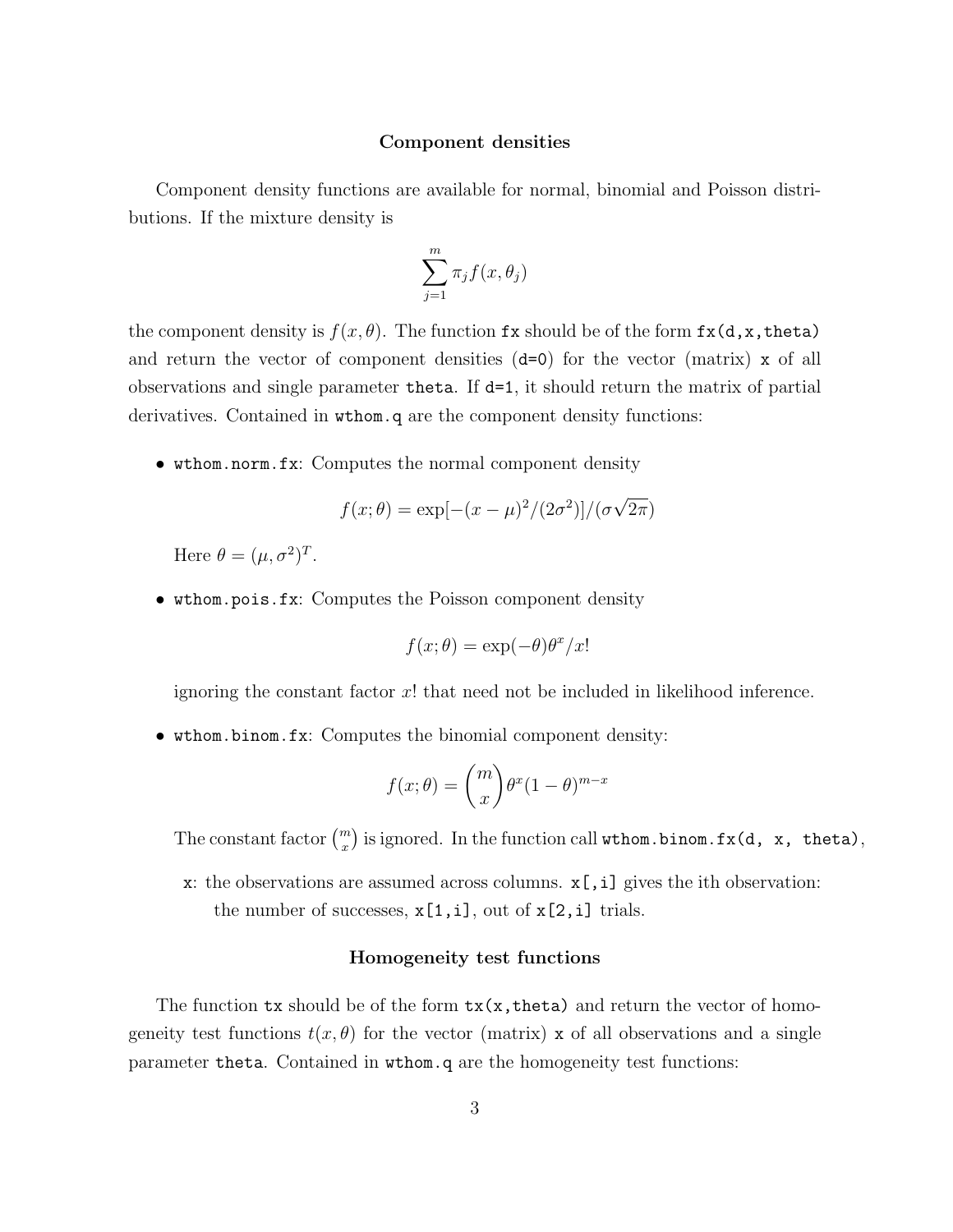### Component densities

Component density functions are available for normal, binomial and Poisson distributions. If the mixture density is

$$
\sum_{j=1}^{m} \pi_j f(x, \theta_j)
$$

the component density is  $f(x, \theta)$ . The function fx should be of the form  $f(x, d, x, t)$ and return the vector of component densities (d=0) for the vector (matrix) x of all observations and single parameter theta. If  $d=1$ , it should return the matrix of partial derivatives. Contained in wthom.q are the component density functions:

• wthom.norm.fx: Computes the normal component density

$$
f(x; \theta) = \exp[-(x-\mu)^2/(2\sigma^2)]/(\sigma\sqrt{2\pi})
$$

Here  $\theta = (\mu, \sigma^2)^T$ .

• wthom.pois.fx: Computes the Poisson component density

$$
f(x; \theta) = \exp(-\theta)\theta^x/x!
$$

ignoring the constant factor  $x!$  that need not be included in likelihood inference.

• wthom.binom.fx: Computes the binomial component density:

$$
f(x; \theta) = {m \choose x} \theta^x (1 - \theta)^{m - x}
$$

The constant factor  $\binom{m}{x}$  is ignored. In the function call wthom.binom.fx(d, x, theta),

x: the observations are assumed across columns.  $x$ [,i] gives the ith observation: the number of successes,  $x[1,i]$ , out of  $x[2,i]$  trials.

# Homogeneity test functions

The function  $tx$  should be of the form  $tx(x,theta)$  and return the vector of homogeneity test functions  $t(x, \theta)$  for the vector (matrix) x of all observations and a single parameter theta. Contained in wthom.q are the homogeneity test functions: